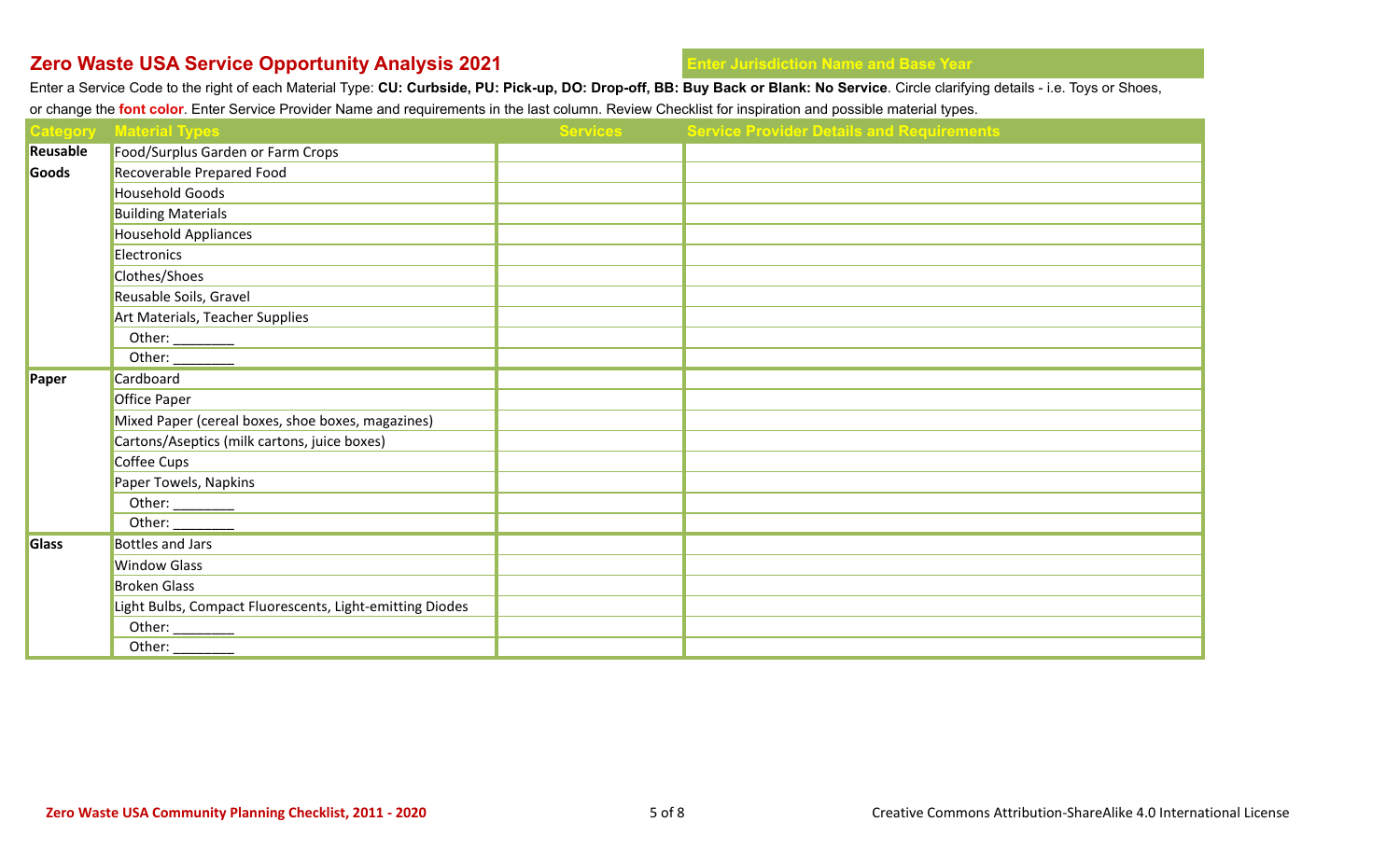Enter a Service Code to the right of each Material Type: **CU: Curbside, PU: Pick-up, DO: Drop-off, BB: Buy Back or Blank: No Service**. Circle clarifying details - i.e. Toys or Shoes,

or change the **font color**. Enter Service Provider Name and requirements in the last column. Review Checklist for inspiration and possible material types.

| <b>Category</b> | <b>Material Types</b>                                                                                                                                                                                                                                                                                                                                                                                        | <b>Services</b> | <b>Service Provider Details and Requirements</b> |
|-----------------|--------------------------------------------------------------------------------------------------------------------------------------------------------------------------------------------------------------------------------------------------------------------------------------------------------------------------------------------------------------------------------------------------------------|-----------------|--------------------------------------------------|
| Reusable        | Food/Surplus Garden or Farm Crops                                                                                                                                                                                                                                                                                                                                                                            |                 |                                                  |
| Goods           | Recoverable Prepared Food                                                                                                                                                                                                                                                                                                                                                                                    |                 |                                                  |
|                 | <b>Household Goods</b>                                                                                                                                                                                                                                                                                                                                                                                       |                 |                                                  |
|                 | <b>Building Materials</b>                                                                                                                                                                                                                                                                                                                                                                                    |                 |                                                  |
|                 | <b>Household Appliances</b>                                                                                                                                                                                                                                                                                                                                                                                  |                 |                                                  |
|                 | Electronics                                                                                                                                                                                                                                                                                                                                                                                                  |                 |                                                  |
|                 | Clothes/Shoes                                                                                                                                                                                                                                                                                                                                                                                                |                 |                                                  |
|                 | Reusable Soils, Gravel                                                                                                                                                                                                                                                                                                                                                                                       |                 |                                                  |
|                 | Art Materials, Teacher Supplies                                                                                                                                                                                                                                                                                                                                                                              |                 |                                                  |
|                 |                                                                                                                                                                                                                                                                                                                                                                                                              |                 |                                                  |
|                 |                                                                                                                                                                                                                                                                                                                                                                                                              |                 |                                                  |
| Paper           | Cardboard                                                                                                                                                                                                                                                                                                                                                                                                    |                 |                                                  |
|                 | <b>Office Paper</b>                                                                                                                                                                                                                                                                                                                                                                                          |                 |                                                  |
|                 | Mixed Paper (cereal boxes, shoe boxes, magazines)                                                                                                                                                                                                                                                                                                                                                            |                 |                                                  |
|                 | Cartons/Aseptics (milk cartons, juice boxes)                                                                                                                                                                                                                                                                                                                                                                 |                 |                                                  |
|                 | Coffee Cups                                                                                                                                                                                                                                                                                                                                                                                                  |                 |                                                  |
|                 | Paper Towels, Napkins                                                                                                                                                                                                                                                                                                                                                                                        |                 |                                                  |
|                 | Other: $\qquad \qquad$                                                                                                                                                                                                                                                                                                                                                                                       |                 |                                                  |
|                 | Other: ________                                                                                                                                                                                                                                                                                                                                                                                              |                 |                                                  |
| <b>Glass</b>    | <b>Bottles and Jars</b>                                                                                                                                                                                                                                                                                                                                                                                      |                 |                                                  |
|                 | <b>Window Glass</b>                                                                                                                                                                                                                                                                                                                                                                                          |                 |                                                  |
|                 | <b>Broken Glass</b>                                                                                                                                                                                                                                                                                                                                                                                          |                 |                                                  |
|                 | Light Bulbs, Compact Fluorescents, Light-emitting Diodes                                                                                                                                                                                                                                                                                                                                                     |                 |                                                  |
|                 | Other: $\frac{1}{\sqrt{1-\frac{1}{2}}\sqrt{1-\frac{1}{2}}\sqrt{1-\frac{1}{2}}\sqrt{1-\frac{1}{2}}\sqrt{1-\frac{1}{2}}\sqrt{1-\frac{1}{2}}\sqrt{1-\frac{1}{2}}\sqrt{1-\frac{1}{2}}\sqrt{1-\frac{1}{2}}\sqrt{1-\frac{1}{2}}\sqrt{1-\frac{1}{2}}\sqrt{1-\frac{1}{2}}\sqrt{1-\frac{1}{2}}\sqrt{1-\frac{1}{2}}\sqrt{1-\frac{1}{2}}\sqrt{1-\frac{1}{2}}\sqrt{1-\frac{1}{2}}\sqrt{1-\frac{1}{2}}\sqrt{1-\frac{1}{2$ |                 |                                                  |
|                 | Other: $\frac{\phantom{aaaa}}{\phantom{aaaa}}$                                                                                                                                                                                                                                                                                                                                                               |                 |                                                  |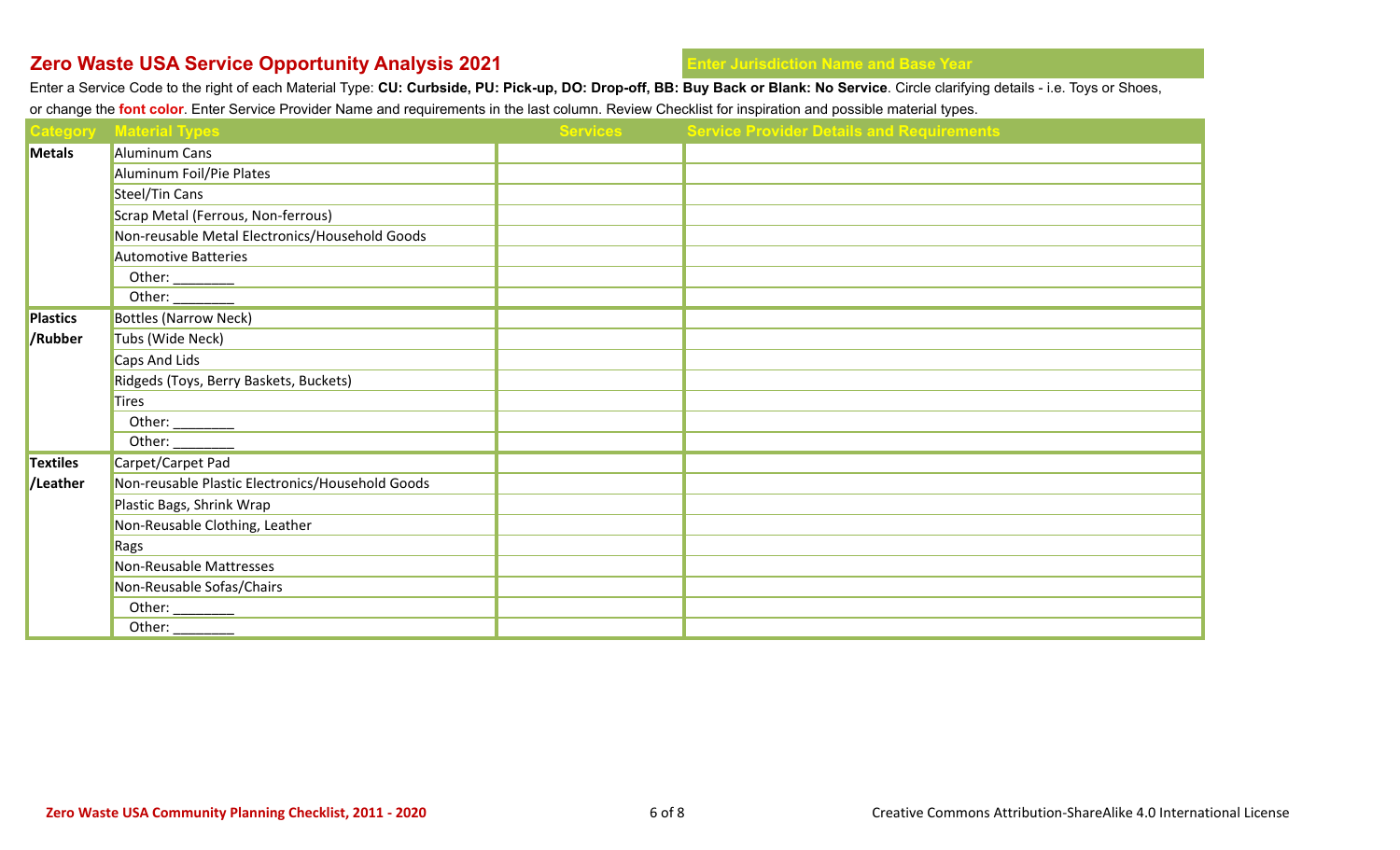Enter a Service Code to the right of each Material Type: **CU: Curbside, PU: Pick-up, DO: Drop-off, BB: Buy Back or Blank: No Service**. Circle clarifying details - i.e. Toys or Shoes,

or change the **font color**. Enter Service Provider Name and requirements in the last column. Review Checklist for inspiration and possible material types.

|                 | <b>Category</b> Material Types                          | <b>Services</b> | <b>Service Provider Details and Requirements</b> |
|-----------------|---------------------------------------------------------|-----------------|--------------------------------------------------|
| <b>Metals</b>   | <b>Aluminum Cans</b>                                    |                 |                                                  |
|                 | Aluminum Foil/Pie Plates                                |                 |                                                  |
|                 | Steel/Tin Cans                                          |                 |                                                  |
|                 | Scrap Metal (Ferrous, Non-ferrous)                      |                 |                                                  |
|                 | Non-reusable Metal Electronics/Household Goods          |                 |                                                  |
|                 | <b>Automotive Batteries</b>                             |                 |                                                  |
|                 | Other: $\qquad \qquad$                                  |                 |                                                  |
|                 | Other: $\frac{1}{1}$                                    |                 |                                                  |
| <b>Plastics</b> | <b>Bottles (Narrow Neck)</b>                            |                 |                                                  |
| /Rubber         | Tubs (Wide Neck)                                        |                 |                                                  |
|                 | Caps And Lids                                           |                 |                                                  |
|                 | Ridgeds (Toys, Berry Baskets, Buckets)                  |                 |                                                  |
|                 | <b>Tires</b>                                            |                 |                                                  |
|                 | Other: $\qquad \qquad$                                  |                 |                                                  |
|                 | Other: $\frac{1}{\sqrt{1-\frac{1}{2}}\cdot\frac{1}{2}}$ |                 |                                                  |
| <b>Textiles</b> | Carpet/Carpet Pad                                       |                 |                                                  |
| /Leather        | Non-reusable Plastic Electronics/Household Goods        |                 |                                                  |
|                 | Plastic Bags, Shrink Wrap                               |                 |                                                  |
|                 | Non-Reusable Clothing, Leather                          |                 |                                                  |
|                 | Rags                                                    |                 |                                                  |
|                 | Non-Reusable Mattresses                                 |                 |                                                  |
|                 | Non-Reusable Sofas/Chairs                               |                 |                                                  |
|                 | Other: $\_\_$                                           |                 |                                                  |
|                 | Other:                                                  |                 |                                                  |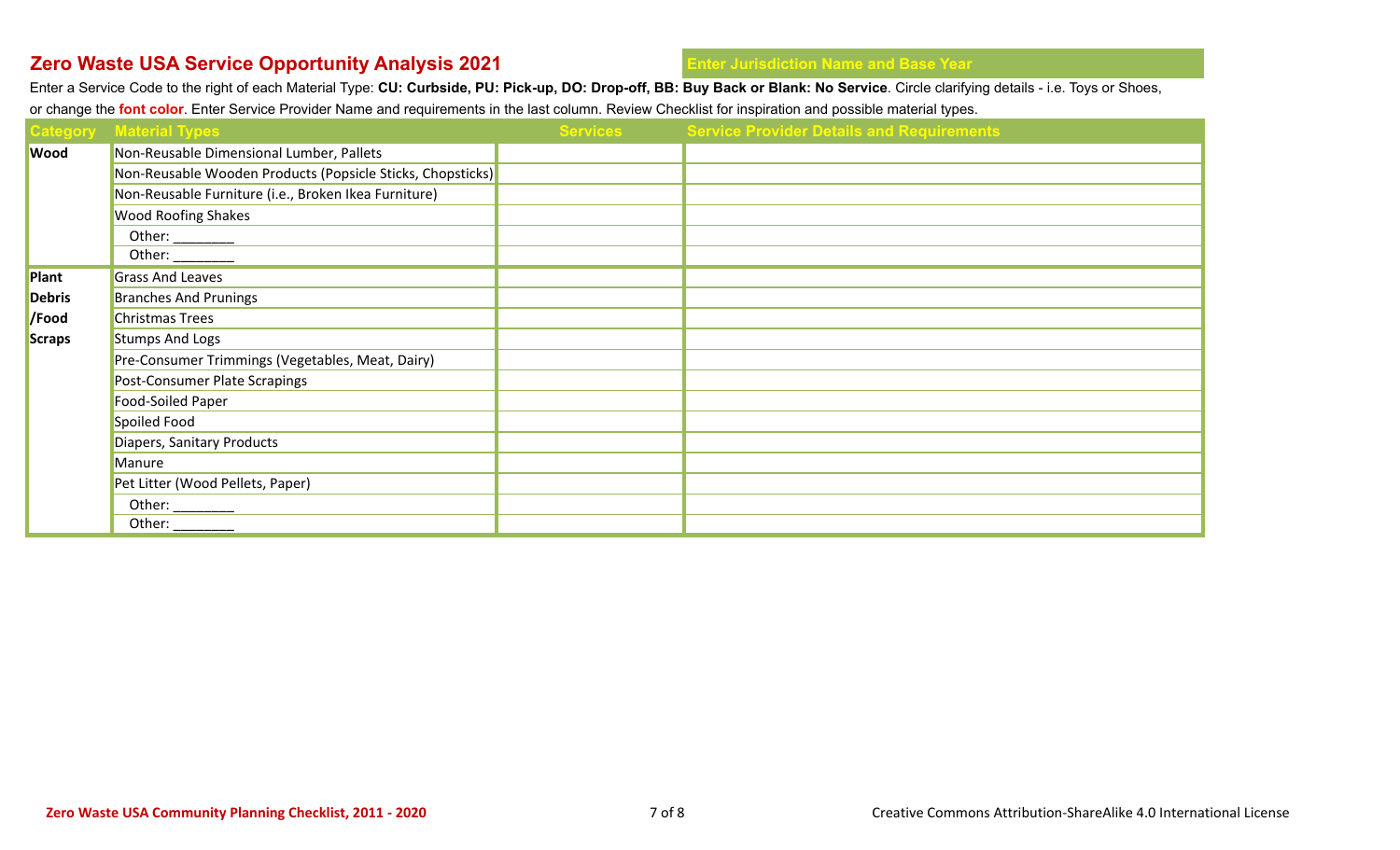Enter a Service Code to the right of each Material Type: **CU: Curbside, PU: Pick-up, DO: Drop-off, BB: Buy Back or Blank: No Service**. Circle clarifying details - i.e. Toys or Shoes, or change the **font color**. Enter Service Provider Name and requirements in the last column. Review Checklist for inspiration and possible material types.

|               | <b>Category Material Types</b>                                                                                                                                                                                                                                                                                                                                                                                                     | <b>Services</b> | <b>Service Provider Details and Requirements</b> |
|---------------|------------------------------------------------------------------------------------------------------------------------------------------------------------------------------------------------------------------------------------------------------------------------------------------------------------------------------------------------------------------------------------------------------------------------------------|-----------------|--------------------------------------------------|
| <b>Wood</b>   | Non-Reusable Dimensional Lumber, Pallets                                                                                                                                                                                                                                                                                                                                                                                           |                 |                                                  |
|               | Non-Reusable Wooden Products (Popsicle Sticks, Chopsticks)                                                                                                                                                                                                                                                                                                                                                                         |                 |                                                  |
|               | Non-Reusable Furniture (i.e., Broken Ikea Furniture)                                                                                                                                                                                                                                                                                                                                                                               |                 |                                                  |
|               | <b>Wood Roofing Shakes</b>                                                                                                                                                                                                                                                                                                                                                                                                         |                 |                                                  |
|               | Other: $\frac{1}{\frac{1}{1-\frac{1}{1-\frac{1}{1-\frac{1}{1-\frac{1}{1-\frac{1}{1-\frac{1}{1-\frac{1}{1-\frac{1}{1-\frac{1}{1-\frac{1}{1-\frac{1}{1-\frac{1}{1-\frac{1}{1-\frac{1}{1-\frac{1}{1-\frac{1}{1-\frac{1}{1-\frac{1}{1-\frac{1}{1-\frac{1}{1-\frac{1}{1-\frac{1}{1-\frac{1}{1-\frac{1}{1-\frac{1}{1-\frac{1}{1-\frac{1}{1-\frac{1}{1-\frac{1}{1-\frac{1}{1-\frac{1}{1-\frac{1}{1-\frac{1}{1-\frac{1$                    |                 |                                                  |
|               | Other: $\frac{1}{\sqrt{1-\frac{1}{2}}\cdot\sqrt{1-\frac{1}{2}}\cdot\sqrt{1-\frac{1}{2}}\cdot\sqrt{1-\frac{1}{2}}\cdot\sqrt{1-\frac{1}{2}}\cdot\sqrt{1-\frac{1}{2}}\cdot\sqrt{1-\frac{1}{2}}\cdot\sqrt{1-\frac{1}{2}}\cdot\sqrt{1-\frac{1}{2}}\cdot\sqrt{1-\frac{1}{2}}\cdot\sqrt{1-\frac{1}{2}}\cdot\sqrt{1-\frac{1}{2}}\cdot\sqrt{1-\frac{1}{2}}\cdot\sqrt{1-\frac{1}{2}}\cdot\sqrt{1-\frac{1}{2}}\cdot\sqrt{1-\frac{1}{2}}\cdot$ |                 |                                                  |
| <b>/Plant</b> | <b>Grass And Leaves</b>                                                                                                                                                                                                                                                                                                                                                                                                            |                 |                                                  |
| <b>Debris</b> | <b>Branches And Prunings</b>                                                                                                                                                                                                                                                                                                                                                                                                       |                 |                                                  |
| /Food         | <b>Christmas Trees</b>                                                                                                                                                                                                                                                                                                                                                                                                             |                 |                                                  |
| <b>Scraps</b> | <b>Stumps And Logs</b>                                                                                                                                                                                                                                                                                                                                                                                                             |                 |                                                  |
|               | Pre-Consumer Trimmings (Vegetables, Meat, Dairy)                                                                                                                                                                                                                                                                                                                                                                                   |                 |                                                  |
|               | Post-Consumer Plate Scrapings                                                                                                                                                                                                                                                                                                                                                                                                      |                 |                                                  |
|               | Food-Soiled Paper                                                                                                                                                                                                                                                                                                                                                                                                                  |                 |                                                  |
|               | Spoiled Food                                                                                                                                                                                                                                                                                                                                                                                                                       |                 |                                                  |
|               | Diapers, Sanitary Products                                                                                                                                                                                                                                                                                                                                                                                                         |                 |                                                  |
|               | Manure                                                                                                                                                                                                                                                                                                                                                                                                                             |                 |                                                  |
|               | Pet Litter (Wood Pellets, Paper)                                                                                                                                                                                                                                                                                                                                                                                                   |                 |                                                  |
|               | Other: $\frac{1}{\sqrt{1-\frac{1}{2}}\cdot\sqrt{1-\frac{1}{2}}\cdot\sqrt{1-\frac{1}{2}}\cdot\sqrt{1-\frac{1}{2}}\cdot\sqrt{1-\frac{1}{2}}\cdot\sqrt{1-\frac{1}{2}}\cdot\sqrt{1-\frac{1}{2}}\cdot\sqrt{1-\frac{1}{2}}\cdot\sqrt{1-\frac{1}{2}}\cdot\sqrt{1-\frac{1}{2}}\cdot\sqrt{1-\frac{1}{2}}\cdot\sqrt{1-\frac{1}{2}}\cdot\sqrt{1-\frac{1}{2}}\cdot\sqrt{1-\frac{1}{2}}\cdot\sqrt{1-\frac{1}{2}}\cdot\sqrt{1-\frac{1}{2}}\cdot$ |                 |                                                  |
|               | Other: $\frac{1}{\sqrt{1-\frac{1}{2}}\cdot\sqrt{1-\frac{1}{2}}\cdot\sqrt{1-\frac{1}{2}}\cdot\sqrt{1-\frac{1}{2}}\cdot\sqrt{1-\frac{1}{2}}\cdot\sqrt{1-\frac{1}{2}}\cdot\sqrt{1-\frac{1}{2}}\cdot\sqrt{1-\frac{1}{2}}\cdot\sqrt{1-\frac{1}{2}}\cdot\sqrt{1-\frac{1}{2}}\cdot\sqrt{1-\frac{1}{2}}\cdot\sqrt{1-\frac{1}{2}}\cdot\sqrt{1-\frac{1}{2}}\cdot\sqrt{1-\frac{1}{2}}\cdot\sqrt{1-\frac{1}{2}}\cdot\sqrt{1-\frac{1}{2}}\cdot$ |                 |                                                  |